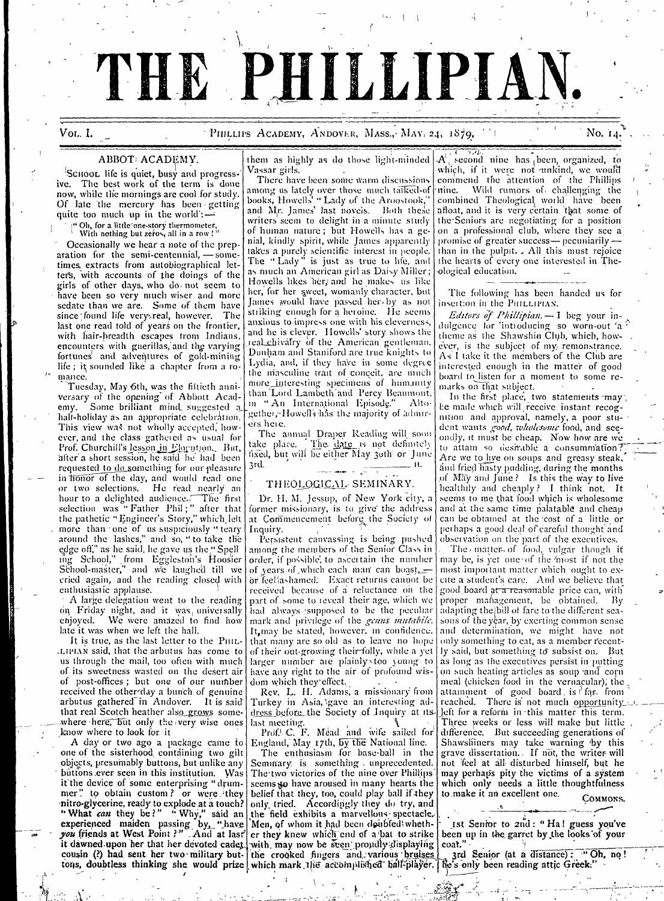# THE PHILLIPIAN

Vol. I.

#### PHILLIPS ACADEMY, ANDOVER, MASS., MAY. 24, 1879.

No. 14

#### ABBOT ACADEMY.

SCHOOL life is quiet, busy and progressive. The best work of the term is done now, while the mornings are cool for study. Of late the mercury has been getting<br>quite too much up in the world:

"Oh, for a little one-story thermometer,<br>With nothing but zeros, all in a row!"

Occasionally we hear a note of the prep $aration$  for the semi-centennial,  $\rightarrow$  sometimes, extracts from autobiographical letter's, with accounts of the doings of the girls of other days, who do not seem to have been so very much wiser and more<br>sedate than we are. Some of them have since found life very real, however. The last one read told of years on the frontier, with hair-breadth escapes from Indians, encounters with guerillas, and the varying fortunes and adventures of gold-mining life; it sounded like a chapter from a romance.

Tuesday, May 6th, was the filtieth anniversary of the opening of Abbott Acad-Some brilliant mind suggested a emy. hall-holiday as an appropriate celebration. This view was not wholly accepted, however, and the class gathered as usual for Prof. Churchill's lesson in Elocution. But, after a short session, he said he had been requested to do something for our pleasure in fronor of the day, and would read one or two selections. He read nearly an hour to a delighted audience. The first<br>selection was "Father Phil;" after that the pathetic "Engineer's Story," which left more than one of us suspiciously "teary around the lashes," and so, "to take the edge off," as he said, he gave us the "Spell ing School," from Eggleston's Hoosier<br>School-master," and we laughed till we cried again, and the reading closed with enthusiastic applause.

A large delegation went to the reading on Friday night, and it was universally We were amazed to find how enjoved. late it was when we left the hall.

It is true, as the last letter to the PHIL-LIPIAN said, that the arbutus has come to us through the mail, too often with much of its sweetness wasted on the desert air of post-offices; but one of our number received the otherday a bunch of genuine<br>arbutus gathered in Andover. It is said that real Scotch heather also grows somewhere here, but only the very wise ones know where to look for it

A day or two ago a package came to one of the sisterhood containing two gilt objects, presumably buttons, but unlike any buttons ever seen in this institution. Was it the device of some enterprising "drummer" to obtain custom? or were they<br>mitro-glycerine, ready to explode at a touch?<br>"What can they be?" "Why," said an experienced maiden passing by, "have you friends at West Point?" And at last tons, doubtless thinking she would prize which mark the accomplished ball-player. [Ne's only been reading attic Greek:"

them as highly as do those light-minded Vassar girls.

There have been some warm discussions among us lately over those much talked-of time. Wild rumors of challenging the books, Howells' " Lady of the Aroostook," combined Theological world have been and Mr. James' last novels. Both these writers seem to delight in a minute study of human nature; but Howells has a geor minim matter, but Trowers mes a gentil, kindly spirit, while James apparently<br>takes a purely scientific interest in people.<br>The "Lady" is just as true to hie, and as much an American girl as Daisy Miller;<br>Howells likes her, and he makes us like her, for her sweet, womanly character, but James would have passed her by as not striking enough for a heroine. He seems anxious to impress one with his cleverness, and he is clever. Howells' story shows the real chivalry of the American gentleman.<br>Dunham and Staniford are true knights to Lydia, and, if they have in some degree the masculine trait of conceit, are much more interesting specimens of humanity than 'Lord Lambeth' and Percy Beaumont. in "An International Episode." Altogether, Howells has the majority of admirers here.

The annual Draper Reading will soon<br>take place. The date is not definitely<br>fixed, but will be either May 30th or June 3rd.  $\mathbf{H}$ 

### THEOLOGICAL SEMINARY.

Dr. H. M. Jessup, of New York city, a former missionary, is to give the address at Commencement before the Society of Inquiry.

Persistent canvassing is being pushed among the members of the Senior Class in order, if possible, to ascertain the number of years of which each man can boast,  $\equiv$ or feelfashamed. Exact returns cannot be received because of a reluctance on the part of some to reveal their age, which we had always supposed to be the peculiar mark and privilege of the genus mutabile. It, may be stated, however, in confidence,<br>that many are so old as to leave no hope of their out-growing their folly, while a yet larger number are plainly too young to<br>have any right to the air of profound wisdom which they effect.

Rev. L. H. Adams, a missionary from Turkey in Asia, gave an interesting address before the Society of Inquiry at its last meeting.

Prof. C. F. Mead and wife sailed for<br>England, May 17th, by the National line.

The enthusiasm for base-ball in the Seminary is something minprecedented. The two victories of the nine over Phillips' scems to have aroused in many hearts the belief that they, too, could play ball if they only, tried. Accordingly they do try, and the field exhibits a marvellous spectacle. Men, of whom it had been doubted whether they knew which end of a bat to strike it dawned upon her that her devoted cadet, with may now be seen proudly displaying cousin (?) had sent her two military but the crooked fingers and various bruises

A second nine has been, organized, to which, if it were not unkind, we would commend the attention of the Phillips afloat, and it is very certain that some of the Seniors are negotiating for a position on a professional club, where they see a promise of greater success-pecuniarilythan in the pulpit. All this must rejoice the hearts of every one interested in Theological education.

The following has been handed us for insertion in the PHILLIPIAN.

*Editors of Phillipian*  $\rightarrow$  I beg your indulgence for introducing so worn-out a theme as the Shawshin Club, which, however, is the subject of my remonstrance. As I take it the members of the Club are interested enough in the matter of good board to listen for a moment to some remarks on that subject.

In the first place, two statements may be made which will receive instant recognition and approval, namely, a poor student wants good, wholesome food, and seeondly, it must be cheap. Now how are we to attain so desirable a consummation? Are we to live on soups and greasy steak. and fried hasty pudding, during the months of May and June? Is this the way to live healthily and cheaply? I think not. It seems to me that food which is wholesome and at the same time palatable and cheap can be obtained at the cost of a little or perhaps a good deal of careful thought and observation on the part of the executives.

The matter of food, vulgar though if may be, is yet one of the most if not the most important matter which fought to excite a student's care. And we believe that good board at a reasonable price can, with proper management, be obtained,  $\mathbf{B}\mathbf{v}$ adapting the bill of fare to the different seasons of the year, by exerting common sense and determination, we might have not only something to eat, as a member recently said, but something to subsist on. But as long as the executives persist in putting on such heating articles as soup and corn meal (chicken food in the vernacular), the attainment of good board is <sup>t</sup> far. from<br>reached. There is not much opportunity. left for a reform in this matter this term. Three weeks or less will make but little difference. But succeeding generations of Shawshiners may take warning by this grave dissertation. If not, the writer will not feel at all disturbed himself, but he may perhaps pity the victims of a system which only needs a little thoughtfulness to make it an excellent one.

COMMONS.

Ist Senior to 2nd: "Ha! guess you've been up in the garret by the looks of your coat."

3rd Senior (at a distance): "Oh, no!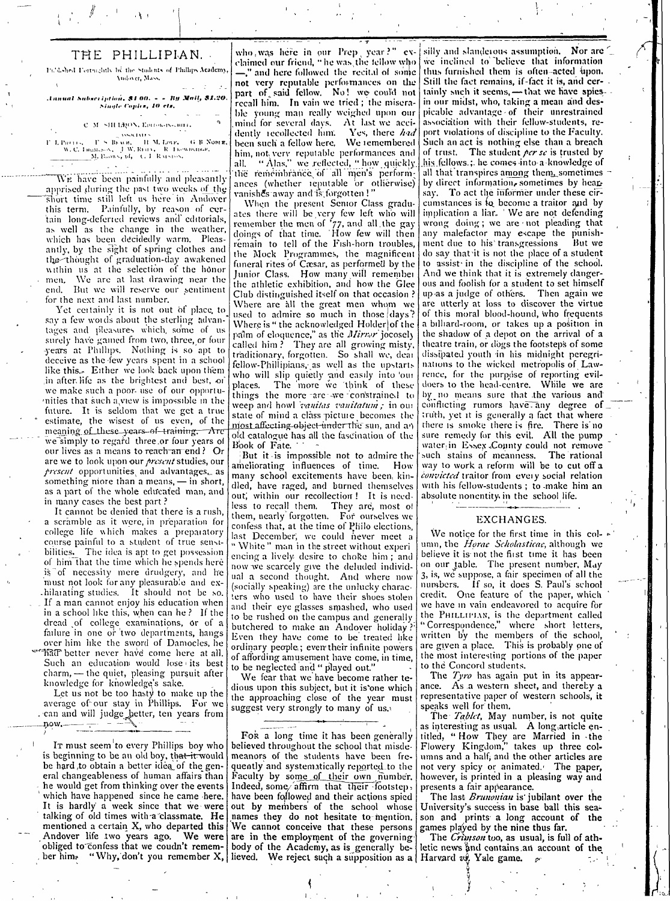## THE PHILLIPIAN.

Published Fortuightly by the Students of Phillips Atademy Andover, Mass.

Annual Sabscription, \$1 00. - - By Mail, \$1.20.<br>Single Copies, 10 cts.

#### C. M. SHI LEON, Entroprisonnell

PROTESTING THE SERVICE SERVICE IN THE SERVICE THE SERVICE IN THE SERVICE THE SERVICE THE SERVICE OF THE SERVICE THE SERVICE THE SERVICE OF THE SERVICE OF THE SERVICE OF THE SERVICE OF THE SERVICE OF THE SERVICE OF THE SERV P. L. Parris,

We have been painfully and pleasantly apprised during the past two weeks of the Short time still left us here in Andover this term. Painfully, by reason of certain long-deferred reviews and editorials, as well as the change in the weather, which has been decidedly warm. Pleasantly, by the sight of spring clothes and the thought of graduation-day awakened within us at the selection of the honor men. We are at last drawing near the end. But we will reserve our sentiment for the next and last number.

Yet certainly it is not out of place, to say a few words about the sterling advantages and pleasures which some of us surely have gained from two, three, or four years at Phillips. Nothing is so apt to deceive as the few years spent in a school like this. Either we look back upon them in after life as the brightest and best, or we make such a poor- use of our opportumities that such a view is impossible in the future. It is seldom that we get a true estimate, the wisest of us even, of the meaning of these years of training. Are we simply to regard three or four years of our lives as a means to reach an end? Or are we to look upon our present studies, our present opportunities and advantages, as something niore than a means, -– in short. as a part of the whole educated man, and in many cases the best part?

It cannot be denied that there is a rush. a scramble as it were, in preparation for college life which makes a preparatory course painful to a student of true sensibilities. The idea is apt to get possession of him that the time which he spends here is of necessity mere drudgery, and he must not look for any pleasurable and exhilarating studies. It should not be so. If a man cannot enjoy his education when in a school like this, when can he? If the dread of college examinations, or of a<br>failure in one or two departments, hangs over him like the sword of Damocles, he hat better never have come here at all. Such an education would lose its best clear and statement. pleasing pursuit after<br>knowledge for knowledge's sake.

Let us not be too hasty to make up the average of our stay in Phillips. For we can and will judge better, ten years from now.

Ir must seem to every Phillips boy who is beginning to be an old boy, that it would be hard to obtain a better idea of the general changeableness of human affairs than he would get from thinking over the events which have happened since he came here. It is hardly a week since that we were talking of old times with a classmate. He mentioned a certain X, who departed this Andover life two years ago. We were

who was here in our Prep year?" evclaimed our friend, "he was the fellow who -," and here followed the recital of some not very reputable performances on the part of said fellow. No! we could not recall him. In vain we tried; the miserable young man really weighed upon our mind for several days. At last we accidently recollected him. Yes, there had been such a fellow here. We remembered him, not very reputable performances and<br>all. "Alas," we reflected, "how quickly  $all.$ the remembrance of all men's performances (whether reputable or otherwise) vanishes away and is forgotten!'

When the present Senior Class graduates there will be very few left who will remember the men of '77, and all the gay<br>doings of that time. How few will then rémain to tell of the Fish-horn troubles. the Mock Programmes, the magnificent funeral rites of Cæsar, as performed by the Junior Class. How many will remember the athletic exhibition, and how the Glee Club distinguished itself on that occasion? Where are all the great men whom we used to admire so much in those days? Where is "the acknowledged Holder of the palm of eloquence," as the Mirror jocosely called him? They are all growing misty, traditionary, forgotten. So shall we, dear fellow-Phillipians, as well as the upstarts who will slip quietly and easily into our The more we think of these places. things the more are we constrained to weep and howl *ranitas vanitatum*; in our state of mind a class picture becomes the niost affecting object under the sun, and an old catalogue has all the fascination of the Book of Fate.

But it is impossible not to admire the ameliorating influences of time. How many school excitements have been kindled, have raged, and burned themselves out, within our recollection! It is needless to recall them. They are, most of<br>them, nearly forgotten. For ourselves we confess that, at the time of Philo elections. last December, we could never meet a "White" man in the street without experiencing a lively desire to choke him; and now we scarcely give the deluded individual a second thought. And where now (socially speaking) are the unlucky characters who used to have their shoes stolen and their eye glasses smashed, who used to be rushed on the campus and generally butchered to make an Andover holiday? Even they have come to be treated like ordinary people; even their infinite nowers of affording amusement have come, in time, to be neglected and "played out.'

We fear that we have become rather tedious upon this subject, but it is'one which the approaching close of the year must suggest very strongly to many of us.

For a long time it has been generally believed throughout the school that misdemeanors of the students have been frequently and systematically reported to the Faculty by some of their own number. Indeed, some affirm that their footstep, have been followed and their actions spied out by members of the school whose names they do not hesitate to mention. We cannot conceive that these persons are in the employment of the governing obliged to confess that we coudn't remem- body of the Academy, as is generally be- letic news and contains a<br>ber him. "Why, don't you remember X, lieved. We reject such a supposition as a Harvard vy Yale game.

silly and slanderous assumption. Nor are we inclined to believe that information thus furnished them is often-acted upon. Still the fact remains, if-fact it is, and certainly such it seems, - that we have spiesin our midst, who, taking a mean and despicable advantage of their unrestrained association with their fellow-students, report violations of discipline to the Faculty. Such an act is nothing else than a breach of trust. The student per se is trusted by his fellows : he comes into a knowledge of all that transpires among them sometimes by direct information, sometimes by hearsay. To act the informer under these circumstances is lo become a traitor and by implication a liar. 'We are not defending wrong doing; we are not pleading that any malefactor may escape the punishment due to his transgressions But we do say that it is not the place of a student to assist in the discipline of the school. And we think that it is extremely dangerous and foolish for a student to set himself up as a judge of others. Then again we are utterly at loss to discover the virtue of this moral blood-hound, who frequents a billiard-room, or takes up a position in the shadow of a depot on the arrival of a theatre train, or dogs the footsteps of some dissipated youth in his midnight peregrinations to the wicked metropolis of Lawrence, for the purpose of reporting evildoers to the head-centre. While we are by no means sure that the various and conflicting rumors have any degree of truth, yet it is generally a fact that where there is smoke there is fire. There is no<br>sure remedy for this evil. All the pump water in Essex County could not remove such stains of meanness. The rational way to work a reform will be to cut off a convicted traitor from every social relation with his fellow-students; to make him an absolute nonentity in the school life.

#### **EXCHANGES.**

We notice for the first time in this column, the *Horae Scholasticae*, although we believe it is not the first time it has been on our table. The present number, May 3, is, we suppose, a fair specimen of all the numbers. If so, it does S. Paul's school credit. One feature of the paper, which we have in vain endeavored to acquire for the PHILLIPIAN, is the department called<br>"Correspondence," where short letters, written by the members of the school, are given a place. This is probably one of the most interesting portions of the paper to the Concord students.

The Tyro has again put in its appearance. As a western sheet, and thereby a representative paper of western schools, it speaks well for them.

The *Tablet*, May number, is not quite as interesting as usual. A long article entitled, "How They are Married in the Flowery Kingdom," takes up three columns and a half, and the other articles are not very spicy or animated. The paper, however, is printed in a pleasing way and presents a fair appearance.

The last *Brunonian* is jubilant over the University's success in base ball this season and prints a long account of the<br>games played by the nine thus far.

The Crivison too, as usual, is full of athletic news and contains an account of the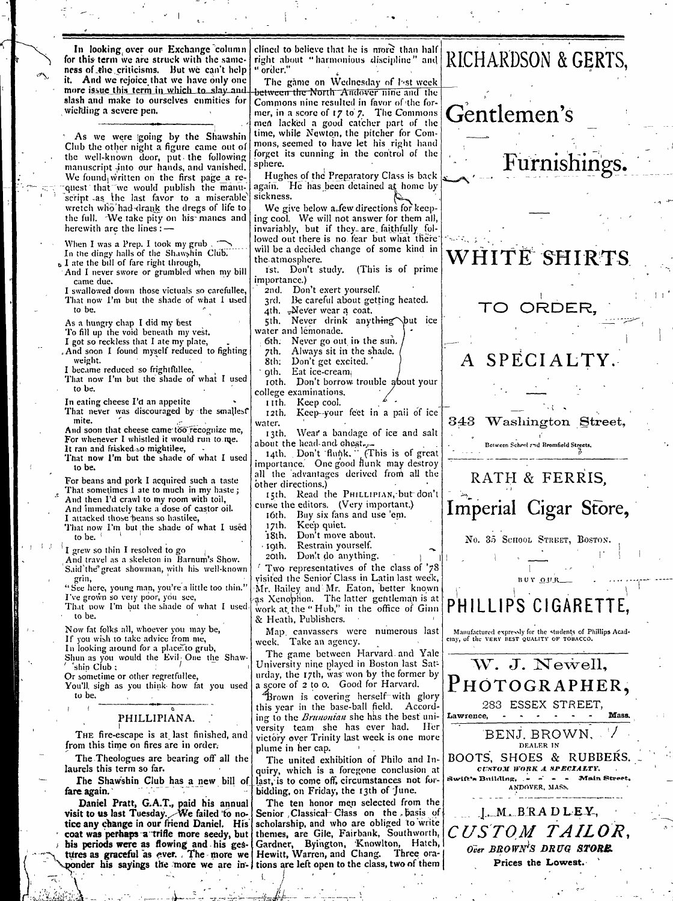In looking over our Exchange column | for this term we are struck with the sameness of the criticisms. But we can't help it. And we rejoice that we have only one more issue this term in which to slay and slash and make to ourselves enmities for wielding a severe pen.

As we were going by the Shawshin Club the other night a figure came out of the well-known door, put the following manuscript into our hands, and vanished. We found written on the first page a request that we would publish the manuwretch who'had-drank the dregs of life to the full. We take pity on his manes and herewith are the lines:

- When I was a Prep. I took my grub.<br>In the dingy halls of the Shawshin Club.<br>a I ate the bill of fare right through,
- And I never swore or grumbled when my bill came due.
- Ť swallowed down those victuals so carefullee, That now I'm but the shade of what I used to be.

As a hungry chap I did my best

- To fill up the void beneath my vest.
- I got so reckless that I ate my plate, . And soon I found myself reduced to fighting
- weight. I became reduced so frightfullee,
- That now I'm but the shade of what I used to be.

In eating cheese I'd an appetite That never was discouraged by the smallest

- mite. And soon that cheese came too recognize me,
- For whenever I whistled it would run to me. It ran and frisked so mightilee,
- That now I'm but the shade of what I used to be.
- For beans and pork I acquired such a taste That sometimes I ate to much in my haste; And then I'd crawl to my room with toil,
- And immediately take a dose of castor oil.
- I attacked those beans so hastilee,
- That now I'm but the shade of what I used to be.

I grew so thin I resolved to go

- And travel as a skeleton in Barnum's Show. Said'the great showman, with his well-known grin,
- "See here, young man, you're a little too thin." I've grown so very poor, you see,
- That now I'm but the shade of what I used. to be.

Now fat folks all, whoever you may be,

- If you wish to take advice from me, In looking around for a place to grub,
- Shun as you would the Evil One the Shaw-"shin Club ;
- Or sometime or other regretfullee, You'll sigh as you think how fat you used
- to be.

#### PHILLIPIANA.

THE fire-escape is at last finished, and from this time on fires are in order.

The Theologues are bearing off all the laurels this term so far.

The Shawshin Club has a new bill of fare again.

Daniel Pratt, G.A.T., paid his annual visit to us last Tuesday. We failed to notice any change in our friend Daniel. His coat was perhaps a trifle more seedy, but his periods were as flowing and his ges- Gardner, Byington, Knowlton, Hatch, tures as graceful as ever. The more we Hewitt, Warren, and Chang. Three ora-

clined to believe that he is more than half right about "harmonious discipline" and " order."

The gåme on Wednesday of last week between the North Andover nine and the Commons nine resulted in favor of the former, in a score of 17 to 7. The Commons men lacked a good catcher part of the time, while Newton, the pitcher for Commons, seemed to have let his right hand forget its cunning in the control of the sphere.

Hughes of the Preparatory Class is back again. He has been detained at home by sickness.

We give below  $a_n$  few directions for keeping cool. We will not answer for them all, invariably, but if they are faithfully followed out there is no fear but what there will be a decided change of some kind in the atmosphere.

- ist. Don't study. (This is of prime importance.)
- 2nd. Don't exert yourself.
- Be careful about getting heated. 3rd.
- 4th. "Never wear a coat.
- 5th. Never drink anything but ice water and lémonade.
	- 6th. Never go out in the sun.
	- 7th. Always sit in the shade.
	- Don't get excited. 8th:
	- gth. Eat ice-cream
- roth. Don't borrow trouble about your college examinations.
	- Keep cool. rith.

12th. Keep-your feet in a pail of ice water.

13th. Wear a bandage of ice and salt about the head and chest.

14th. Don't flunk. (This is of great importance. One good flunk may destroy all the advantages derived from all the other directions.)

15th. Read the PHILLIPIAN, but don't curse the editors. (Very important.)<br>16th. Buy six fans and use 'em.

- 
- 17th. Keep quiet.
- $18<sub>th</sub>$ . Don't move about.
- Restrain yourself. Igth.
- Don't do anything. 20th.

Two representatives of the class of '78 visited the Senior Class in Latin last week, Mr. Bailey and Mr. Eaton, better known as Xenophon. The latter gentleman is at work at the "Hub," in the office of Ginn & Heath, Publishers.

Map canvassers were numerous last<br>week. Take an agency.

The game between Harvard and Yale University nine played in Boston last Saturday, the 17th, was won by the former by a score of 2 to 0. Good for Harvard.

Brown is covering herself with glory this year in the base-ball field. According to the *Brunonian* she has the best university team she has ever had. – Her victory over Trinity last week is one more plume in her cap.

The united exhibition of Philo and Inquiry, which is a foregone conclusion at last, is to come off, circumstances not forbidding, on Friday, the 13th of June.

The ten honor men selected from the Senior Classical Class on the basis of scholarship, and who are obliged to write themes, are Gile, Fairbank, Southworth, ponder his sayings the more we are in- tions are left open to the class, two of them

## RICHARDSON & GERTS,

## Gentlemen's

WHITE SHIRTS

Furnishings.

TO ORDER,

SPECIALTY.

343 Washington Street,

Between School and Bromfield Streets.

# RATH & FERRIS. Imperial Cigar Store,

No. 35 SCHOOL STREET, BOSTON.

PHILLIPS CIGARETTE.

BUY QUR

Manufactured expressly for the students of Phillips Academy, of the VERY BEST QUALITY OF TOBACCO.